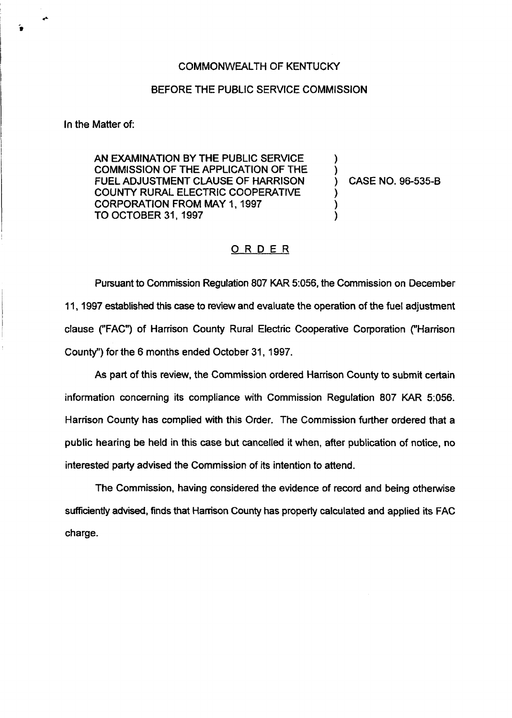## COMMONWEALTH OF KENTUCKY

## BEFORE THE PUBLIC SERVICE COMMISSION

In the Matter of:

AN EXAMINATION BYTHE PUBLIC SERVICE COMMISSION OF THE APPLICATION OF THE FUEL ADJUSTMENT CLAUSE OF HARRISON COUNTY RURAL ELECTRIC COOPERATIVE CORPORATION FROM MAY 1, 1997 TO OCTOBER 31, 1997

) CASE NO. 96-535-B

) )

) )

## ORDER

Pursuant to Commission Regulation 807 KAR 5:056, the Commission on December 11, 1997 established this case to review and evaluate the operation of the fuel adjustment clause {"FAC") of Harrison County Rural Electric Cooperative Corporation {"Harrison County") for the 6 months ended October 31, 1997.

As part of this review, the Commission ordered Harrison County to submit certain information concerning its compliance with Commission Regulation 807 KAR 5:056. Harrison County has complied with this Order. The Commission further ordered that a public hearing be held in this case but cancelled it when, after publication of notice, no interested party advised the Commission of its intention to attend.

The Commission, having considered the evidence of record and being otherwise sufficiently advised, finds that Harrison County has properly calculated and applied its FAC charge.